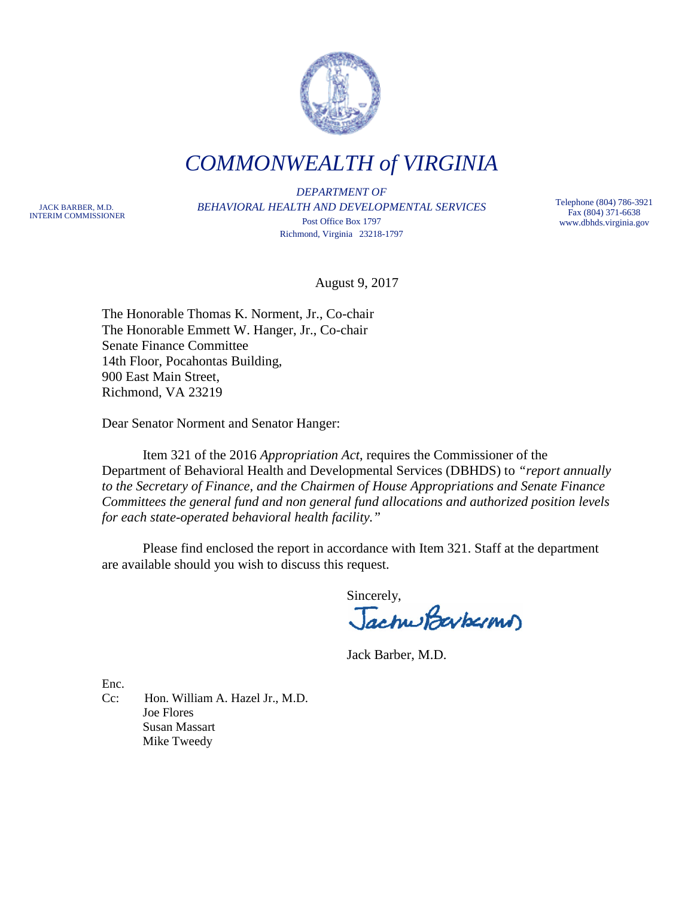

*COMMONWEALTH of VIRGINIA*

JACK BARBER, M.D. INTERIM COMMISSIONER

*DEPARTMENT OF BEHAVIORAL HEALTH AND DEVELOPMENTAL SERVICES* Post Office Box 1797 Richmond, Virginia 23218-1797

Telephone (804) 786-3921 Fax (804) 371-6638 www.dbhds.virginia.gov

August 9, 2017

The Honorable Thomas K. Norment, Jr., Co-chair The Honorable Emmett W. Hanger, Jr., Co-chair Senate Finance Committee 14th Floor, Pocahontas Building, 900 East Main Street, Richmond, VA 23219

Dear Senator Norment and Senator Hanger:

Item 321 of the 2016 *Appropriation Act*, requires the Commissioner of the Department of Behavioral Health and Developmental Services (DBHDS) to *"report annually to the Secretary of Finance, and the Chairmen of House Appropriations and Senate Finance Committees the general fund and non general fund allocations and authorized position levels for each state-operated behavioral health facility."*

Please find enclosed the report in accordance with Item 321. Staff at the department are available should you wish to discuss this request.

Sincerely,<br>Jachwodaybermur)

Jack Barber, M.D.

Enc.

Cc: Hon. William A. Hazel Jr., M.D. Joe Flores Susan Massart Mike Tweedy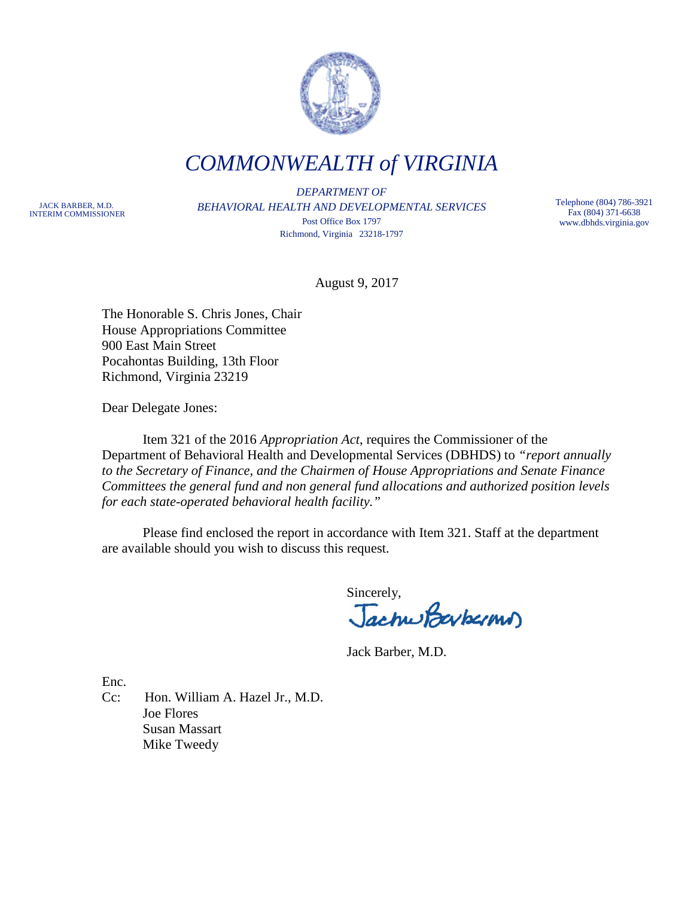

*COMMONWEALTH of VIRGINIA*

JACK BARBER, M.D. INTERIM COMMISSIONER

*DEPARTMENT OF BEHAVIORAL HEALTH AND DEVELOPMENTAL SERVICES* Post Office Box 1797 Richmond, Virginia 23218-1797

Telephone (804) 786-3921 Fax (804) 371-6638 www.dbhds.virginia.gov

August 9, 2017

The Honorable S. Chris Jones, Chair House Appropriations Committee 900 East Main Street Pocahontas Building, 13th Floor Richmond, Virginia 23219

Dear Delegate Jones:

Item 321 of the 2016 *Appropriation Act*, requires the Commissioner of the Department of Behavioral Health and Developmental Services (DBHDS) to *"report annually to the Secretary of Finance, and the Chairmen of House Appropriations and Senate Finance Committees the general fund and non general fund allocations and authorized position levels for each state-operated behavioral health facility."*

Please find enclosed the report in accordance with Item 321. Staff at the department are available should you wish to discuss this request.

Sincerely,<br>Jachus Baybarmus

Jack Barber, M.D.

Enc.

Cc: Hon. William A. Hazel Jr., M.D. Joe Flores Susan Massart Mike Tweedy